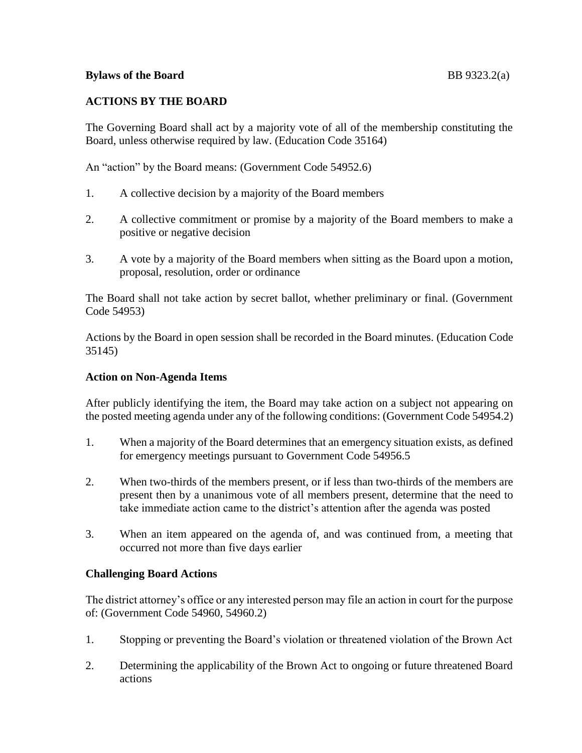# **ACTIONS BY THE BOARD**

The Governing Board shall act by a majority vote of all of the membership constituting the Board, unless otherwise required by law. (Education Code 35164)

An "action" by the Board means: (Government Code 54952.6)

- 1. A collective decision by a majority of the Board members
- 2. A collective commitment or promise by a majority of the Board members to make a positive or negative decision
- 3. A vote by a majority of the Board members when sitting as the Board upon a motion, proposal, resolution, order or ordinance

The Board shall not take action by secret ballot, whether preliminary or final. (Government Code 54953)

Actions by the Board in open session shall be recorded in the Board minutes. (Education Code 35145)

### **Action on Non-Agenda Items**

After publicly identifying the item, the Board may take action on a subject not appearing on the posted meeting agenda under any of the following conditions: (Government Code 54954.2)

- 1. When a majority of the Board determines that an emergency situation exists, as defined for emergency meetings pursuant to Government Code 54956.5
- 2. When two-thirds of the members present, or if less than two-thirds of the members are present then by a unanimous vote of all members present, determine that the need to take immediate action came to the district's attention after the agenda was posted
- 3. When an item appeared on the agenda of, and was continued from, a meeting that occurred not more than five days earlier

# **Challenging Board Actions**

The district attorney's office or any interested person may file an action in court for the purpose of: (Government Code 54960, 54960.2)

- 1. Stopping or preventing the Board's violation or threatened violation of the Brown Act
- 2. Determining the applicability of the Brown Act to ongoing or future threatened Board actions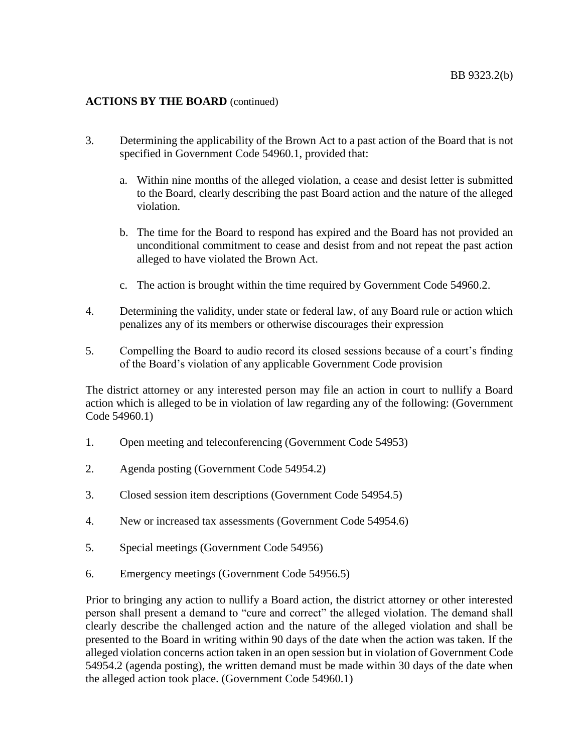# **ACTIONS BY THE BOARD** (continued)

- 3. Determining the applicability of the Brown Act to a past action of the Board that is not specified in Government Code 54960.1, provided that:
	- a. Within nine months of the alleged violation, a cease and desist letter is submitted to the Board, clearly describing the past Board action and the nature of the alleged violation.
	- b. The time for the Board to respond has expired and the Board has not provided an unconditional commitment to cease and desist from and not repeat the past action alleged to have violated the Brown Act.
	- c. The action is brought within the time required by Government Code 54960.2.
- 4. Determining the validity, under state or federal law, of any Board rule or action which penalizes any of its members or otherwise discourages their expression
- 5. Compelling the Board to audio record its closed sessions because of a court's finding of the Board's violation of any applicable Government Code provision

The district attorney or any interested person may file an action in court to nullify a Board action which is alleged to be in violation of law regarding any of the following: (Government Code 54960.1)

- 1. Open meeting and teleconferencing (Government Code 54953)
- 2. Agenda posting (Government Code 54954.2)
- 3. Closed session item descriptions (Government Code 54954.5)
- 4. New or increased tax assessments (Government Code 54954.6)
- 5. Special meetings (Government Code 54956)
- 6. Emergency meetings (Government Code 54956.5)

Prior to bringing any action to nullify a Board action, the district attorney or other interested person shall present a demand to "cure and correct" the alleged violation. The demand shall clearly describe the challenged action and the nature of the alleged violation and shall be presented to the Board in writing within 90 days of the date when the action was taken. If the alleged violation concerns action taken in an open session but in violation of Government Code 54954.2 (agenda posting), the written demand must be made within 30 days of the date when the alleged action took place. (Government Code 54960.1)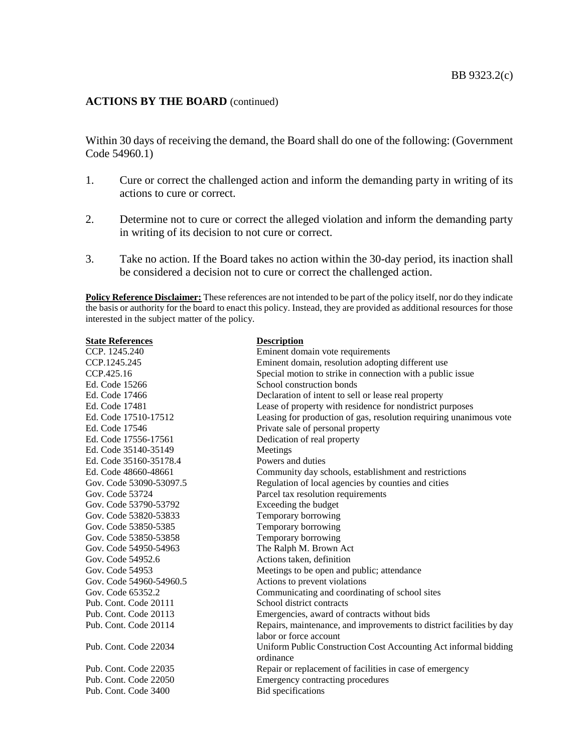# **ACTIONS BY THE BOARD** (continued)

Within 30 days of receiving the demand, the Board shall do one of the following: (Government Code 54960.1)

- 1. Cure or correct the challenged action and inform the demanding party in writing of its actions to cure or correct.
- 2. Determine not to cure or correct the alleged violation and inform the demanding party in writing of its decision to not cure or correct.
- 3. Take no action. If the Board takes no action within the 30-day period, its inaction shall be considered a decision not to cure or correct the challenged action.

**Policy Reference Disclaimer:** These references are not intended to be part of the policy itself, nor do they indicate the basis or authority for the board to enact this policy. Instead, they are provided as additional resources for those interested in the subject matter of the policy.

| <b>State References</b> | <b>Description</b>                                                   |
|-------------------------|----------------------------------------------------------------------|
| CCP. 1245.240           | Eminent domain vote requirements                                     |
| CCP.1245.245            | Eminent domain, resolution adopting different use                    |
| CCP.425.16              | Special motion to strike in connection with a public issue           |
| Ed. Code 15266          | School construction bonds                                            |
| Ed. Code 17466          | Declaration of intent to sell or lease real property                 |
| Ed. Code 17481          | Lease of property with residence for nondistrict purposes            |
| Ed. Code 17510-17512    | Leasing for production of gas, resolution requiring unanimous vote   |
| Ed. Code 17546          | Private sale of personal property                                    |
| Ed. Code 17556-17561    | Dedication of real property                                          |
| Ed. Code 35140-35149    | Meetings                                                             |
| Ed. Code 35160-35178.4  | Powers and duties                                                    |
| Ed. Code 48660-48661    | Community day schools, establishment and restrictions                |
| Gov. Code 53090-53097.5 | Regulation of local agencies by counties and cities                  |
| Gov. Code 53724         | Parcel tax resolution requirements                                   |
| Gov. Code 53790-53792   | Exceeding the budget                                                 |
| Gov. Code 53820-53833   | Temporary borrowing                                                  |
| Gov. Code 53850-5385    | Temporary borrowing                                                  |
| Gov. Code 53850-53858   | Temporary borrowing                                                  |
| Gov. Code 54950-54963   | The Ralph M. Brown Act                                               |
| Gov. Code 54952.6       | Actions taken, definition                                            |
| Gov. Code 54953         | Meetings to be open and public; attendance                           |
| Gov. Code 54960-54960.5 | Actions to prevent violations                                        |
| Gov. Code 65352.2       | Communicating and coordinating of school sites                       |
| Pub. Cont. Code 20111   | School district contracts                                            |
| Pub. Cont. Code 20113   | Emergencies, award of contracts without bids                         |
| Pub. Cont. Code 20114   | Repairs, maintenance, and improvements to district facilities by day |
|                         | labor or force account                                               |
| Pub. Cont. Code 22034   | Uniform Public Construction Cost Accounting Act informal bidding     |
|                         | ordinance                                                            |
| Pub. Cont. Code 22035   | Repair or replacement of facilities in case of emergency             |
| Pub. Cont. Code 22050   | Emergency contracting procedures                                     |
| Pub. Cont. Code 3400    | Bid specifications                                                   |
|                         |                                                                      |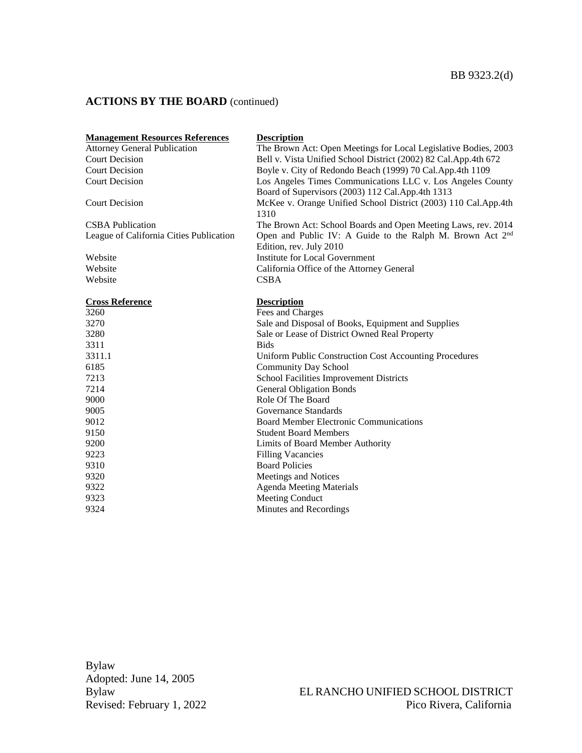# **ACTIONS BY THE BOARD** (continued)

| <b>Management Resources References</b>  | <b>Description</b>                                                                                             |
|-----------------------------------------|----------------------------------------------------------------------------------------------------------------|
| <b>Attorney General Publication</b>     | The Brown Act: Open Meetings for Local Legislative Bodies, 2003                                                |
| <b>Court Decision</b>                   | Bell v. Vista Unified School District (2002) 82 Cal.App.4th 672                                                |
| <b>Court Decision</b>                   | Boyle v. City of Redondo Beach (1999) 70 Cal.App.4th 1109                                                      |
| <b>Court Decision</b>                   | Los Angeles Times Communications LLC v. Los Angeles County<br>Board of Supervisors (2003) 112 Cal.App.4th 1313 |
| <b>Court Decision</b>                   | McKee v. Orange Unified School District (2003) 110 Cal.App.4th<br>1310                                         |
| <b>CSBA</b> Publication                 | The Brown Act: School Boards and Open Meeting Laws, rev. 2014                                                  |
| League of California Cities Publication | Open and Public IV: A Guide to the Ralph M. Brown Act 2 <sup>nd</sup><br>Edition, rev. July 2010               |
| Website                                 | Institute for Local Government                                                                                 |
| Website                                 | California Office of the Attorney General                                                                      |
| Website                                 | <b>CSBA</b>                                                                                                    |
|                                         |                                                                                                                |
| <b>Cross Reference</b>                  | <b>Description</b>                                                                                             |
| 3260                                    | Fees and Charges                                                                                               |
| 3270                                    | Sale and Disposal of Books, Equipment and Supplies                                                             |
| 3280                                    | Sale or Lease of District Owned Real Property                                                                  |
| 3311                                    | <b>Bids</b>                                                                                                    |
| 3311.1                                  | Uniform Public Construction Cost Accounting Procedures                                                         |
| 6185                                    | <b>Community Day School</b>                                                                                    |
| 7213                                    | School Facilities Improvement Districts                                                                        |
| 7214                                    | <b>General Obligation Bonds</b>                                                                                |
| 9000                                    | Role Of The Board                                                                                              |
| 9005                                    | Governance Standards                                                                                           |
| 9012                                    | <b>Board Member Electronic Communications</b>                                                                  |
| 9150                                    | <b>Student Board Members</b>                                                                                   |
| 9200                                    | Limits of Board Member Authority                                                                               |
| 9223                                    | <b>Filling Vacancies</b>                                                                                       |
| 9310                                    | <b>Board Policies</b>                                                                                          |
| 9320                                    | Meetings and Notices                                                                                           |
| 9322                                    | <b>Agenda Meeting Materials</b>                                                                                |
| 9323                                    | Meeting Conduct                                                                                                |
| 9324                                    | Minutes and Recordings                                                                                         |

Bylaw Adopted: June 14, 2005 Revised: February 1, 2022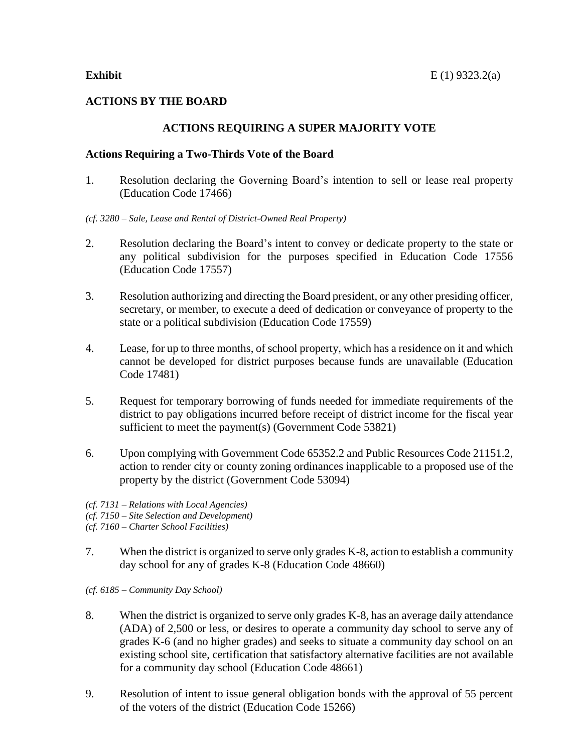# **ACTIONS BY THE BOARD**

# **ACTIONS REQUIRING A SUPER MAJORITY VOTE**

### **Actions Requiring a Two-Thirds Vote of the Board**

- 1. Resolution declaring the Governing Board's intention to sell or lease real property (Education Code 17466)
- *(cf. 3280 – Sale, Lease and Rental of District-Owned Real Property)*
- 2. Resolution declaring the Board's intent to convey or dedicate property to the state or any political subdivision for the purposes specified in Education Code 17556 (Education Code 17557)
- 3. Resolution authorizing and directing the Board president, or any other presiding officer, secretary, or member, to execute a deed of dedication or conveyance of property to the state or a political subdivision (Education Code 17559)
- 4. Lease, for up to three months, of school property, which has a residence on it and which cannot be developed for district purposes because funds are unavailable (Education Code 17481)
- 5. Request for temporary borrowing of funds needed for immediate requirements of the district to pay obligations incurred before receipt of district income for the fiscal year sufficient to meet the payment(s) (Government Code 53821)
- 6. Upon complying with Government Code 65352.2 and Public Resources Code 21151.2, action to render city or county zoning ordinances inapplicable to a proposed use of the property by the district (Government Code 53094)
- *(cf. 7131 – Relations with Local Agencies)*
- *(cf. 7150 – Site Selection and Development)*
- *(cf. 7160 – Charter School Facilities)*
- 7. When the district is organized to serve only grades K-8, action to establish a community day school for any of grades K-8 (Education Code 48660)

*(cf. 6185 – Community Day School)*

- 8. When the district is organized to serve only grades K-8, has an average daily attendance (ADA) of 2,500 or less, or desires to operate a community day school to serve any of grades K-6 (and no higher grades) and seeks to situate a community day school on an existing school site, certification that satisfactory alternative facilities are not available for a community day school (Education Code 48661)
- 9. Resolution of intent to issue general obligation bonds with the approval of 55 percent of the voters of the district (Education Code 15266)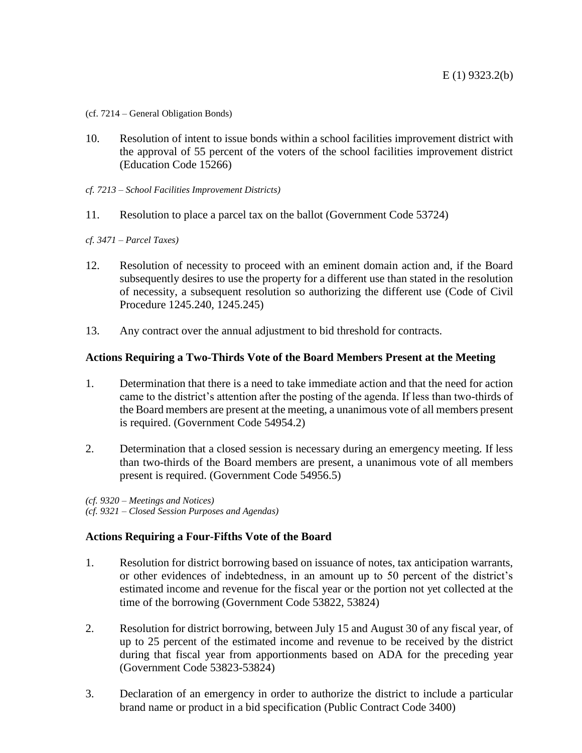- (cf. 7214 General Obligation Bonds)
- 10. Resolution of intent to issue bonds within a school facilities improvement district with the approval of 55 percent of the voters of the school facilities improvement district (Education Code 15266)
- *cf. 7213 – School Facilities Improvement Districts)*
- 11. Resolution to place a parcel tax on the ballot (Government Code 53724)
- *cf. 3471 – Parcel Taxes)*
- 12. Resolution of necessity to proceed with an eminent domain action and, if the Board subsequently desires to use the property for a different use than stated in the resolution of necessity, a subsequent resolution so authorizing the different use (Code of Civil Procedure 1245.240, 1245.245)
- 13. Any contract over the annual adjustment to bid threshold for contracts.

### **Actions Requiring a Two-Thirds Vote of the Board Members Present at the Meeting**

- 1. Determination that there is a need to take immediate action and that the need for action came to the district's attention after the posting of the agenda. If less than two-thirds of the Board members are present at the meeting, a unanimous vote of all members present is required. (Government Code 54954.2)
- 2. Determination that a closed session is necessary during an emergency meeting. If less than two-thirds of the Board members are present, a unanimous vote of all members present is required. (Government Code 54956.5)

*(cf. 9320 – Meetings and Notices) (cf. 9321 – Closed Session Purposes and Agendas)*

# **Actions Requiring a Four-Fifths Vote of the Board**

- 1. Resolution for district borrowing based on issuance of notes, tax anticipation warrants, or other evidences of indebtedness, in an amount up to 50 percent of the district's estimated income and revenue for the fiscal year or the portion not yet collected at the time of the borrowing (Government Code 53822, 53824)
- 2. Resolution for district borrowing, between July 15 and August 30 of any fiscal year, of up to 25 percent of the estimated income and revenue to be received by the district during that fiscal year from apportionments based on ADA for the preceding year (Government Code 53823-53824)
- 3. Declaration of an emergency in order to authorize the district to include a particular brand name or product in a bid specification (Public Contract Code 3400)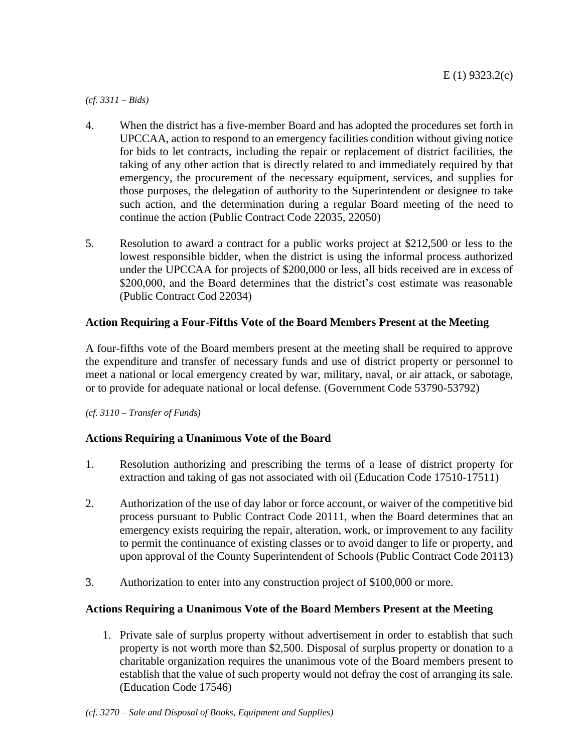*(cf. 3311 – Bids)*

- 4. When the district has a five-member Board and has adopted the procedures set forth in UPCCAA, action to respond to an emergency facilities condition without giving notice for bids to let contracts, including the repair or replacement of district facilities, the taking of any other action that is directly related to and immediately required by that emergency, the procurement of the necessary equipment, services, and supplies for those purposes, the delegation of authority to the Superintendent or designee to take such action, and the determination during a regular Board meeting of the need to continue the action (Public Contract Code 22035, 22050)
- 5. Resolution to award a contract for a public works project at \$212,500 or less to the lowest responsible bidder, when the district is using the informal process authorized under the UPCCAA for projects of \$200,000 or less, all bids received are in excess of \$200,000, and the Board determines that the district's cost estimate was reasonable (Public Contract Cod 22034)

# **Action Requiring a Four-Fifths Vote of the Board Members Present at the Meeting**

A four-fifths vote of the Board members present at the meeting shall be required to approve the expenditure and transfer of necessary funds and use of district property or personnel to meet a national or local emergency created by war, military, naval, or air attack, or sabotage, or to provide for adequate national or local defense. (Government Code 53790-53792)

*(cf. 3110 – Transfer of Funds)*

# **Actions Requiring a Unanimous Vote of the Board**

- 1. Resolution authorizing and prescribing the terms of a lease of district property for extraction and taking of gas not associated with oil (Education Code 17510-17511)
- 2. Authorization of the use of day labor or force account, or waiver of the competitive bid process pursuant to Public Contract Code 20111, when the Board determines that an emergency exists requiring the repair, alteration, work, or improvement to any facility to permit the continuance of existing classes or to avoid danger to life or property, and upon approval of the County Superintendent of Schools (Public Contract Code 20113)
- 3. Authorization to enter into any construction project of \$100,000 or more.

# **Actions Requiring a Unanimous Vote of the Board Members Present at the Meeting**

1. Private sale of surplus property without advertisement in order to establish that such property is not worth more than \$2,500. Disposal of surplus property or donation to a charitable organization requires the unanimous vote of the Board members present to establish that the value of such property would not defray the cost of arranging its sale. (Education Code 17546)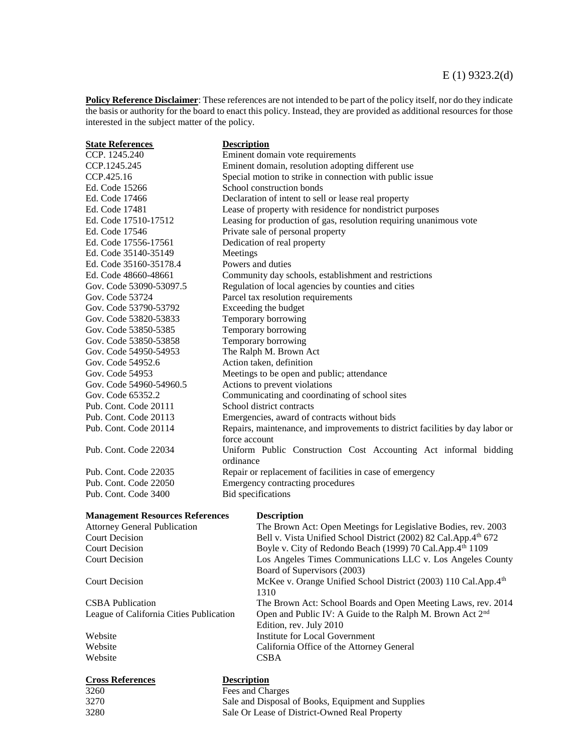**Policy Reference Disclaimer**: These references are not intended to be part of the policy itself, nor do they indicate the basis or authority for the board to enact this policy. Instead, they are provided as additional resources for those interested in the subject matter of the policy.

| <b>State References</b>                 | <b>Description</b>                                                                             |
|-----------------------------------------|------------------------------------------------------------------------------------------------|
| CCP. 1245.240                           | Eminent domain vote requirements                                                               |
| CCP.1245.245                            | Eminent domain, resolution adopting different use                                              |
| CCP.425.16                              | Special motion to strike in connection with public issue                                       |
| Ed. Code 15266                          | School construction bonds                                                                      |
| Ed. Code 17466                          | Declaration of intent to sell or lease real property                                           |
| Ed. Code 17481                          | Lease of property with residence for nondistrict purposes                                      |
| Ed. Code 17510-17512                    | Leasing for production of gas, resolution requiring unanimous vote                             |
| Ed. Code 17546                          | Private sale of personal property                                                              |
| Ed. Code 17556-17561                    | Dedication of real property                                                                    |
| Ed. Code 35140-35149                    | Meetings                                                                                       |
| Ed. Code 35160-35178.4                  | Powers and duties                                                                              |
| Ed. Code 48660-48661                    | Community day schools, establishment and restrictions                                          |
| Gov. Code 53090-53097.5                 | Regulation of local agencies by counties and cities                                            |
| Gov. Code 53724                         | Parcel tax resolution requirements                                                             |
| Gov. Code 53790-53792                   | Exceeding the budget                                                                           |
| Gov. Code 53820-53833                   | Temporary borrowing                                                                            |
| Gov. Code 53850-5385                    | Temporary borrowing                                                                            |
| Gov. Code 53850-53858                   | Temporary borrowing                                                                            |
| Gov. Code 54950-54953                   | The Ralph M. Brown Act                                                                         |
| Gov. Code 54952.6                       | Action taken, definition                                                                       |
| Gov. Code 54953                         | Meetings to be open and public; attendance                                                     |
| Gov. Code 54960-54960.5                 | Actions to prevent violations                                                                  |
| Gov. Code 65352.2                       |                                                                                                |
|                                         | Communicating and coordinating of school sites<br>School district contracts                    |
| Pub. Cont. Code 20111                   |                                                                                                |
| Pub. Cont. Code 20113                   | Emergencies, award of contracts without bids                                                   |
| Pub. Cont. Code 20114                   | Repairs, maintenance, and improvements to district facilities by day labor or<br>force account |
| Pub. Cont. Code 22034                   | Uniform Public Construction Cost Accounting Act informal bidding                               |
|                                         | ordinance                                                                                      |
| Pub. Cont. Code 22035                   | Repair or replacement of facilities in case of emergency                                       |
| Pub. Cont. Code 22050                   | Emergency contracting procedures                                                               |
| Pub. Cont. Code 3400                    | Bid specifications                                                                             |
|                                         |                                                                                                |
| <b>Management Resources References</b>  | <b>Description</b>                                                                             |
| <b>Attorney General Publication</b>     | The Brown Act: Open Meetings for Legislative Bodies, rev. 2003                                 |
| <b>Court Decision</b>                   | Bell v. Vista Unified School District (2002) 82 Cal.App.4th 672                                |
| <b>Court Decision</b>                   | Boyle v. City of Redondo Beach (1999) 70 Cal.App.4th 1109                                      |
| <b>Court Decision</b>                   | Los Angeles Times Communications LLC v. Los Angeles County                                     |
|                                         | Board of Supervisors (2003)                                                                    |
| <b>Court Decision</b>                   | McKee v. Orange Unified School District (2003) 110 Cal.App.4th<br>1310                         |
| <b>CSBA</b> Publication                 | The Brown Act: School Boards and Open Meeting Laws, rev. 2014                                  |
| League of California Cities Publication | Open and Public IV: A Guide to the Ralph M. Brown Act 2 <sup>nd</sup>                          |
|                                         | Edition, rev. July 2010                                                                        |
| Website                                 | <b>Institute for Local Government</b>                                                          |
| Website                                 | California Office of the Attorney General                                                      |
| Website                                 | <b>CSBA</b>                                                                                    |
|                                         |                                                                                                |

### **Cross References Description**

3260 Fees and Charges<br>3270 Sale and Disposal Sale and Disposal of Books, Equipment and Supplies 3280 Sale Or Lease of District-Owned Real Property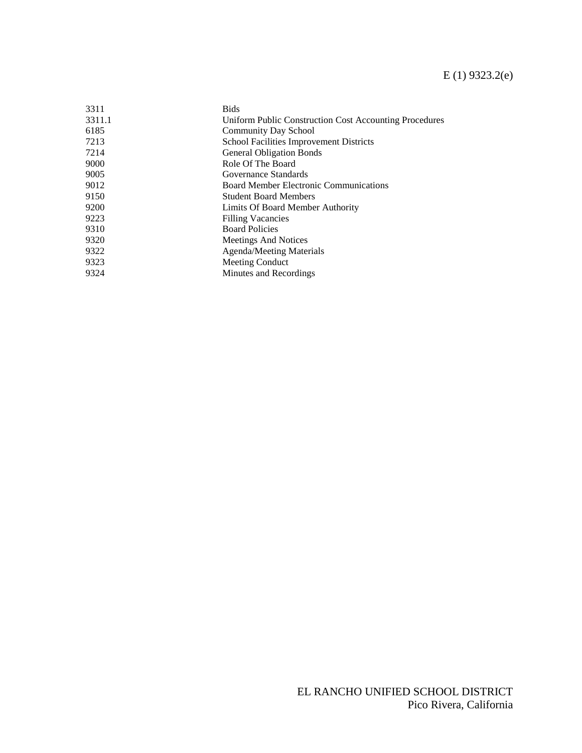# E (1) 9323.2(e)

| 3311   | <b>Bids</b>                                            |
|--------|--------------------------------------------------------|
| 3311.1 | Uniform Public Construction Cost Accounting Procedures |
| 6185   | <b>Community Day School</b>                            |
| 7213   | <b>School Facilities Improvement Districts</b>         |
| 7214   | <b>General Obligation Bonds</b>                        |
| 9000   | Role Of The Board                                      |
| 9005   | Governance Standards                                   |
| 9012   | <b>Board Member Electronic Communications</b>          |
| 9150   | <b>Student Board Members</b>                           |
| 9200   | Limits Of Board Member Authority                       |
| 9223   | <b>Filling Vacancies</b>                               |
| 9310   | <b>Board Policies</b>                                  |
| 9320   | Meetings And Notices                                   |
| 9322   | <b>Agenda/Meeting Materials</b>                        |
| 9323   | Meeting Conduct                                        |
| 9324   | Minutes and Recordings                                 |
|        |                                                        |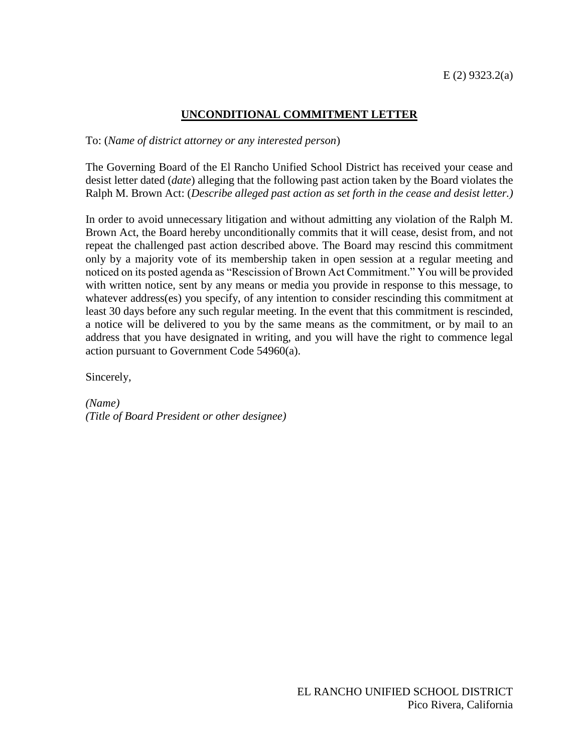# **UNCONDITIONAL COMMITMENT LETTER**

To: (*Name of district attorney or any interested person*)

The Governing Board of the El Rancho Unified School District has received your cease and desist letter dated (*date*) alleging that the following past action taken by the Board violates the Ralph M. Brown Act: (*Describe alleged past action as set forth in the cease and desist letter.)*

In order to avoid unnecessary litigation and without admitting any violation of the Ralph M. Brown Act, the Board hereby unconditionally commits that it will cease, desist from, and not repeat the challenged past action described above. The Board may rescind this commitment only by a majority vote of its membership taken in open session at a regular meeting and noticed on its posted agenda as "Rescission of Brown Act Commitment." You will be provided with written notice, sent by any means or media you provide in response to this message, to whatever address(es) you specify, of any intention to consider rescinding this commitment at least 30 days before any such regular meeting. In the event that this commitment is rescinded, a notice will be delivered to you by the same means as the commitment, or by mail to an address that you have designated in writing, and you will have the right to commence legal action pursuant to Government Code 54960(a).

Sincerely,

*(Name) (Title of Board President or other designee)*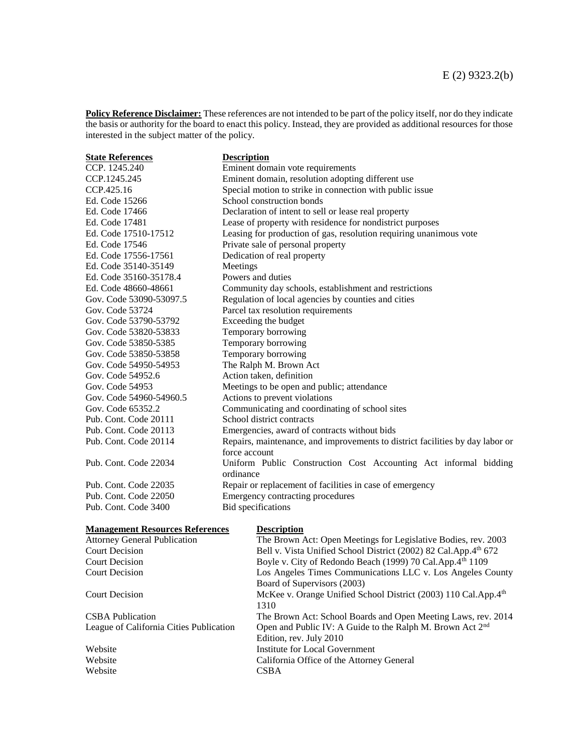**Policy Reference Disclaimer:** These references are not intended to be part of the policy itself, nor do they indicate the basis or authority for the board to enact this policy. Instead, they are provided as additional resources for those interested in the subject matter of the policy.

| <b>State References</b> | <b>Description</b>                                                                             |
|-------------------------|------------------------------------------------------------------------------------------------|
| CCP. 1245.240           | Eminent domain vote requirements                                                               |
| CCP.1245.245            | Eminent domain, resolution adopting different use                                              |
| CCP.425.16              | Special motion to strike in connection with public issue                                       |
| Ed. Code 15266          | School construction bonds                                                                      |
| Ed. Code 17466          | Declaration of intent to sell or lease real property                                           |
| Ed. Code 17481          | Lease of property with residence for nondistrict purposes                                      |
| Ed. Code 17510-17512    | Leasing for production of gas, resolution requiring unanimous vote                             |
| Ed. Code 17546          | Private sale of personal property                                                              |
| Ed. Code 17556-17561    | Dedication of real property                                                                    |
| Ed. Code 35140-35149    | Meetings                                                                                       |
| Ed. Code 35160-35178.4  | Powers and duties                                                                              |
| Ed. Code 48660-48661    | Community day schools, establishment and restrictions                                          |
| Gov. Code 53090-53097.5 | Regulation of local agencies by counties and cities                                            |
| Gov. Code 53724         | Parcel tax resolution requirements                                                             |
| Gov. Code 53790-53792   | Exceeding the budget                                                                           |
| Gov. Code 53820-53833   | Temporary borrowing                                                                            |
| Gov. Code 53850-5385    | Temporary borrowing                                                                            |
| Gov. Code 53850-53858   | Temporary borrowing                                                                            |
| Gov. Code 54950-54953   | The Ralph M. Brown Act                                                                         |
| Gov. Code 54952.6       | Action taken, definition                                                                       |
| Gov. Code 54953         | Meetings to be open and public; attendance                                                     |
| Gov. Code 54960-54960.5 | Actions to prevent violations                                                                  |
| Gov. Code 65352.2       | Communicating and coordinating of school sites                                                 |
| Pub. Cont. Code 20111   | School district contracts                                                                      |
| Pub. Cont. Code 20113   | Emergencies, award of contracts without bids                                                   |
| Pub. Cont. Code 20114   | Repairs, maintenance, and improvements to district facilities by day labor or<br>force account |
| Pub. Cont. Code 22034   | Uniform Public Construction Cost Accounting Act informal bidding<br>ordinance                  |
| Pub. Cont. Code 22035   | Repair or replacement of facilities in case of emergency                                       |
| Pub. Cont. Code 22050   | Emergency contracting procedures                                                               |
| Pub. Cont. Code 3400    | <b>Bid</b> specifications                                                                      |
|                         |                                                                                                |

| <b>Management Resources References</b>  | <b>Description</b>                                                    |
|-----------------------------------------|-----------------------------------------------------------------------|
| <b>Attorney General Publication</b>     | The Brown Act: Open Meetings for Legislative Bodies, rev. 2003        |
| Court Decision                          | Bell v. Vista Unified School District (2002) 82 Cal.App.4th 672       |
| Court Decision                          | Boyle v. City of Redondo Beach (1999) 70 Cal.App.4th 1109             |
| <b>Court Decision</b>                   | Los Angeles Times Communications LLC v. Los Angeles County            |
|                                         | Board of Supervisors (2003)                                           |
| Court Decision                          | McKee v. Orange Unified School District (2003) 110 Cal.App.4th        |
|                                         | 1310                                                                  |
| <b>CSBA</b> Publication                 | The Brown Act: School Boards and Open Meeting Laws, rev. 2014         |
| League of California Cities Publication | Open and Public IV: A Guide to the Ralph M. Brown Act 2 <sup>nd</sup> |
|                                         | Edition, rev. July 2010                                               |
| Website                                 | Institute for Local Government                                        |
| Website                                 | California Office of the Attorney General                             |
| Website                                 | <b>CSBA</b>                                                           |
|                                         |                                                                       |